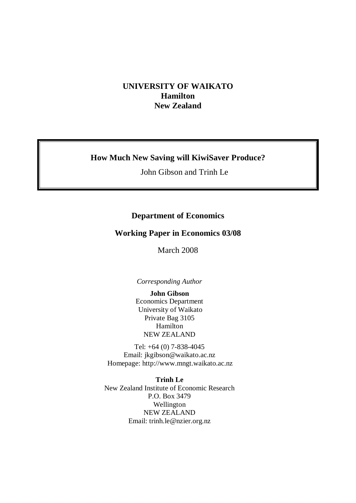## **UNIVERSITY OF WAIKATO Hamilton New Zealand**

# **How Much New Saving will KiwiSaver Produce?**

John Gibson and Trinh Le

# **Department of Economics**

# **Working Paper in Economics 03/08**

March 2008

*Corresponding Author* 

**John Gibson**  Economics Department University of Waikato Private Bag 3105 Hamilton NEW ZEALAND

Tel: +64 (0) 7-838-4045 Email: jkgibson@waikato.ac.nz Homepage: http://www.mngt.waikato.ac.nz

**Trinh Le**  New Zealand Institute of Economic Research P.O. Box 3479 Wellington NEW ZEALAND Email: trinh.le@nzier.org.nz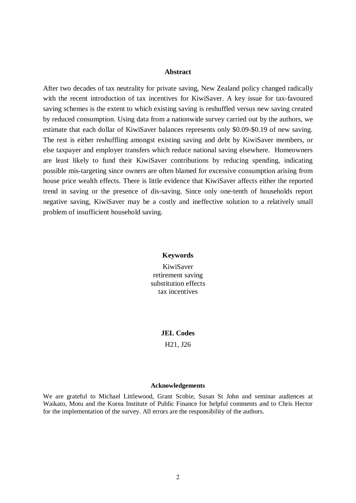#### **Abstract**

After two decades of tax neutrality for private saving, New Zealand policy changed radically with the recent introduction of tax incentives for KiwiSaver. A key issue for tax-favoured saving schemes is the extent to which existing saving is reshuffled versus new saving created by reduced consumption. Using data from a nationwide survey carried out by the authors, we estimate that each dollar of KiwiSaver balances represents only \$0.09-\$0.19 of new saving. The rest is either reshuffling amongst existing saving and debt by KiwiSaver members, or else taxpayer and employer transfers which reduce national saving elsewhere. Homeowners are least likely to fund their KiwiSaver contributions by reducing spending, indicating possible mis-targeting since owners are often blamed for excessive consumption arising from house price wealth effects. There is little evidence that KiwiSaver affects either the reported trend in saving or the presence of dis-saving. Since only one-tenth of households report negative saving, KiwiSaver may be a costly and ineffective solution to a relatively small problem of insufficient household saving.

#### **Keywords**

KiwiSaver retirement saving substitution effects tax incentives

**JEL Codes** 

H21, J26

#### **Acknowledgements**

We are grateful to Michael Littlewood, Grant Scobie, Susan St John and seminar audiences at Waikato, Motu and the Korea Institute of Public Finance for helpful comments and to Chris Hector for the implementation of the survey. All errors are the responsibility of the authors.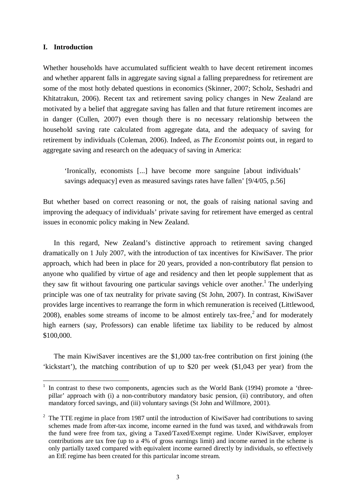### **I. Introduction**

<u>.</u>

Whether households have accumulated sufficient wealth to have decent retirement incomes and whether apparent falls in aggregate saving signal a falling preparedness for retirement are some of the most hotly debated questions in economics (Skinner, 2007; Scholz, Seshadri and Khitatrakun, 2006). Recent tax and retirement saving policy changes in New Zealand are motivated by a belief that aggregate saving has fallen and that future retirement incomes are in danger (Cullen, 2007) even though there is no necessary relationship between the household saving rate calculated from aggregate data, and the adequacy of saving for retirement by individuals (Coleman, 2006). Indeed, as *The Economist* points out, in regard to aggregate saving and research on the adequacy of saving in America:

'Ironically, economists [...] have become more sanguine [about individuals' savings adequacy] even as measured savings rates have fallen' [9/4/05, p.56]

But whether based on correct reasoning or not, the goals of raising national saving and improving the adequacy of individuals' private saving for retirement have emerged as central issues in economic policy making in New Zealand.

 In this regard, New Zealand's distinctive approach to retirement saving changed dramatically on 1 July 2007, with the introduction of tax incentives for KiwiSaver. The prior approach, which had been in place for 20 years, provided a non-contributory flat pension to anyone who qualified by virtue of age and residency and then let people supplement that as they saw fit without favouring one particular savings vehicle over another.<sup>1</sup> The underlying principle was one of tax neutrality for private saving (St John, 2007). In contrast, KiwiSaver provides large incentives to rearrange the form in which remuneration is received (Littlewood, 2008), enables some streams of income to be almost entirely tax-free,<sup>2</sup> and for moderately high earners (say, Professors) can enable lifetime tax liability to be reduced by almost \$100,000.

 The main KiwiSaver incentives are the \$1,000 tax-free contribution on first joining (the 'kickstart'), the matching contribution of up to \$20 per week (\$1,043 per year) from the

<sup>1</sup> In contrast to these two components, agencies such as the World Bank (1994) promote a 'threepillar' approach with (i) a non-contributory mandatory basic pension, (ii) contributory, and often mandatory forced savings, and (iii) voluntary savings (St John and Willmore, 2001).

<sup>&</sup>lt;sup>2</sup> The TTE regime in place from 1987 until the introduction of KiwiSaver had contributions to saving schemes made from after-tax income, income earned in the fund was taxed, and withdrawals from the fund were free from tax, giving a Taxed/Taxed/Exempt regime. Under KiwiSaver, employer contributions are tax free (up to a 4% of gross earnings limit) and income earned in the scheme is only partially taxed compared with equivalent income earned directly by individuals, so effectively an EtE regime has been created for this particular income stream.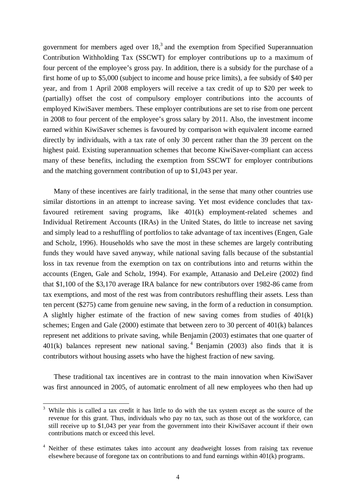government for members aged over  $18<sup>3</sup>$  and the exemption from Specified Superannuation Contribution Withholding Tax (SSCWT) for employer contributions up to a maximum of four percent of the employee's gross pay. In addition, there is a subsidy for the purchase of a first home of up to \$5,000 (subject to income and house price limits), a fee subsidy of \$40 per year, and from 1 April 2008 employers will receive a tax credit of up to \$20 per week to (partially) offset the cost of compulsory employer contributions into the accounts of employed KiwiSaver members. These employer contributions are set to rise from one percent in 2008 to four percent of the employee's gross salary by 2011. Also, the investment income earned within KiwiSaver schemes is favoured by comparison with equivalent income earned directly by individuals, with a tax rate of only 30 percent rather than the 39 percent on the highest paid. Existing superannuation schemes that become KiwiSaver-compliant can access many of these benefits, including the exemption from SSCWT for employer contributions and the matching government contribution of up to \$1,043 per year.

 Many of these incentives are fairly traditional, in the sense that many other countries use similar distortions in an attempt to increase saving. Yet most evidence concludes that taxfavoured retirement saving programs, like 401(k) employment-related schemes and Individual Retirement Accounts (IRAs) in the United States, do little to increase net saving and simply lead to a reshuffling of portfolios to take advantage of tax incentives (Engen, Gale and Scholz, 1996). Households who save the most in these schemes are largely contributing funds they would have saved anyway, while national saving falls because of the substantial loss in tax revenue from the exemption on tax on contributions into and returns within the accounts (Engen, Gale and Scholz, 1994). For example, Attanasio and DeLeire (2002) find that \$1,100 of the \$3,170 average IRA balance for new contributors over 1982-86 came from tax exemptions, and most of the rest was from contributors reshuffling their assets. Less than ten percent (\$275) came from genuine new saving, in the form of a reduction in consumption. A slightly higher estimate of the fraction of new saving comes from studies of 401(k) schemes; Engen and Gale (2000) estimate that between zero to 30 percent of 401(k) balances represent net additions to private saving, while Benjamin (2003) estimates that one quarter of  $401(k)$  balances represent new national saving.<sup>4</sup> Benjamin (2003) also finds that it is contributors without housing assets who have the highest fraction of new saving.

 These traditional tax incentives are in contrast to the main innovation when KiwiSaver was first announced in 2005, of automatic enrolment of all new employees who then had up

<u>.</u>

<sup>3</sup> While this is called a tax credit it has little to do with the tax system except as the source of the revenue for this grant. Thus, individuals who pay no tax, such as those out of the workforce, can still receive up to \$1,043 per year from the government into their KiwiSaver account if their own contributions match or exceed this level.

<sup>&</sup>lt;sup>4</sup> Neither of these estimates takes into account any deadweight losses from raising tax revenue elsewhere because of foregone tax on contributions to and fund earnings within 401(k) programs.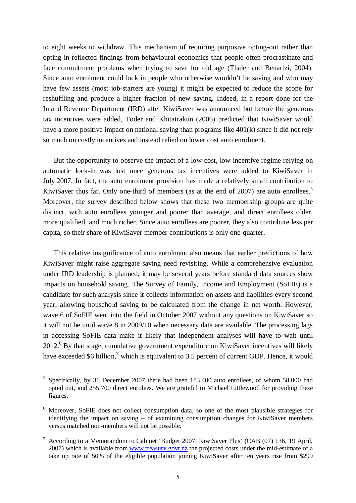to eight weeks to withdraw. This mechanism of requiring purposive opting-out rather than opting-in reflected findings from behavioural economics that people often procrastinate and face commitment problems when trying to save for old age (Thaler and Benartzi, 2004). Since auto enrolment could lock in people who otherwise wouldn't be saving and who may have few assets (most job-starters are young) it might be expected to reduce the scope for reshuffling and produce a higher fraction of new saving. Indeed, in a report done for the Inland Revenue Department (IRD) after KiwiSaver was announced but before the generous tax incentives were added, Toder and Khitatrakun (2006) predicted that KiwiSaver would have a more positive impact on national saving than programs like 401(k) since it did not rely so much on costly incentives and instead relied on lower cost auto enrolment.

 But the opportunity to observe the impact of a low-cost, low-incentive regime relying on automatic lock-in was lost once generous tax incentives were added to KiwiSaver in July 2007. In fact, the auto enrolment provision has made a relatively small contribution to KiwiSaver thus far. Only one-third of members (as at the end of 2007) are auto enrollees.<sup>5</sup> Moreover, the survey described below shows that these two membership groups are quite distinct, with auto enrollees younger and poorer than average, and direct enrollees older, more qualified, and much richer. Since auto enrollees are poorer, they also contribute less per capita, so their share of KiwiSaver member contributions is only one-quarter.

 This relative insignificance of auto enrolment also means that earlier predictions of how KiwiSaver might raise aggregate saving need revisiting. While a comprehensive evaluation under IRD leadership is planned, it may be several years before standard data sources show impacts on household saving. The Survey of Family, Income and Employment (SoFIE) is a candidate for such analysis since it collects information on assets and liabilities every second year, allowing household saving to be calculated from the change in net worth. However, wave 6 of SoFIE went into the field in October 2007 without any questions on KiwiSaver so it will not be until wave 8 in 2009/10 when necessary data are available. The processing lags in accessing SoFIE data make it likely that independent analyses will have to wait until 2012.<sup>6</sup> By that stage, cumulative government expenditure on KiwiSaver incentives will likely have exceeded \$6 billion,<sup>7</sup> which is equivalent to 3.5 percent of current GDP. Hence, it would

<u>.</u>

<sup>5</sup> Specifically, by 31 December 2007 there had been 183,400 auto enrollees, of whom 58,000 had opted out, and 255,700 direct enrolees. We are grateful to Michael Littlewood for providing these figures.

<sup>&</sup>lt;sup>6</sup> Moreover, SoFIE does not collect consumption data, so one of the most plausible strategies for identifying the impact on saving – of examining consumption changes for KiwiSaver members versus matched non-members will not be possible.

 $7$  According to a Memorandum to Cabinet 'Budget 2007: KiwiSaver Plus' (CAB (07) 136, 19 April, 2007) which is available from www.treasury.govt.nz the projected costs under the mid-estimate of a take up rate of 50% of the eligible population joining KiwiSaver after ten years rise from \$299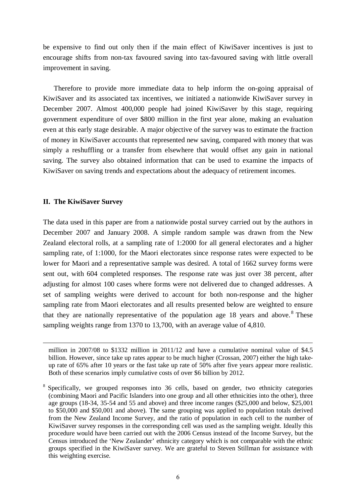be expensive to find out only then if the main effect of KiwiSaver incentives is just to encourage shifts from non-tax favoured saving into tax-favoured saving with little overall improvement in saving.

 Therefore to provide more immediate data to help inform the on-going appraisal of KiwiSaver and its associated tax incentives, we initiated a nationwide KiwiSaver survey in December 2007. Almost 400,000 people had joined KiwiSaver by this stage, requiring government expenditure of over \$800 million in the first year alone, making an evaluation even at this early stage desirable. A major objective of the survey was to estimate the fraction of money in KiwiSaver accounts that represented new saving, compared with money that was simply a reshuffling or a transfer from elsewhere that would offset any gain in national saving. The survey also obtained information that can be used to examine the impacts of KiwiSaver on saving trends and expectations about the adequacy of retirement incomes.

### **II. The KiwiSaver Survey**

<u>.</u>

The data used in this paper are from a nationwide postal survey carried out by the authors in December 2007 and January 2008. A simple random sample was drawn from the New Zealand electoral rolls, at a sampling rate of 1:2000 for all general electorates and a higher sampling rate, of 1:1000, for the Maori electorates since response rates were expected to be lower for Maori and a representative sample was desired. A total of 1662 survey forms were sent out, with 604 completed responses. The response rate was just over 38 percent, after adjusting for almost 100 cases where forms were not delivered due to changed addresses. A set of sampling weights were derived to account for both non-response and the higher sampling rate from Maori electorates and all results presented below are weighted to ensure that they are nationally representative of the population age  $18$  years and above.<sup>8</sup> These sampling weights range from 1370 to 13,700, with an average value of 4,810.

million in 2007/08 to \$1332 million in 2011/12 and have a cumulative nominal value of \$4.5 billion. However, since take up rates appear to be much higher (Crossan, 2007) either the high takeup rate of 65% after 10 years or the fast take up rate of 50% after five years appear more realistic. Both of these scenarios imply cumulative costs of over \$6 billion by 2012.

<sup>&</sup>lt;sup>8</sup> Specifically, we grouped responses into 36 cells, based on gender, two ethnicity categories (combining Maori and Pacific Islanders into one group and all other ethnicities into the other), three age groups (18-34, 35-54 and 55 and above) and three income ranges (\$25,000 and below, \$25,001 to \$50,000 and \$50,001 and above). The same grouping was applied to population totals derived from the New Zealand Income Survey, and the ratio of population in each cell to the number of KiwiSaver survey responses in the corresponding cell was used as the sampling weight. Ideally this procedure would have been carried out with the 2006 Census instead of the Income Survey, but the Census introduced the 'New Zealander' ethnicity category which is not comparable with the ethnic groups specified in the KiwiSaver survey. We are grateful to Steven Stillman for assistance with this weighting exercise.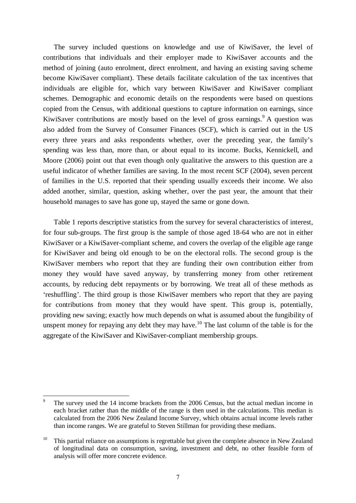The survey included questions on knowledge and use of KiwiSaver, the level of contributions that individuals and their employer made to KiwiSaver accounts and the method of joining (auto enrolment, direct enrolment, and having an existing saving scheme become KiwiSaver compliant). These details facilitate calculation of the tax incentives that individuals are eligible for, which vary between KiwiSaver and KiwiSaver compliant schemes. Demographic and economic details on the respondents were based on questions copied from the Census, with additional questions to capture information on earnings, since KiwiSaver contributions are mostly based on the level of gross earnings.  $A$  question was also added from the Survey of Consumer Finances (SCF), which is carried out in the US every three years and asks respondents whether, over the preceding year, the family's spending was less than, more than, or about equal to its income. Bucks, Kennickell, and Moore (2006) point out that even though only qualitative the answers to this question are a useful indicator of whether families are saving. In the most recent SCF (2004), seven percent of families in the U.S. reported that their spending usually exceeds their income. We also added another, similar, question, asking whether, over the past year, the amount that their household manages to save has gone up, stayed the same or gone down.

 Table 1 reports descriptive statistics from the survey for several characteristics of interest, for four sub-groups. The first group is the sample of those aged 18-64 who are not in either KiwiSaver or a KiwiSaver-compliant scheme, and covers the overlap of the eligible age range for KiwiSaver and being old enough to be on the electoral rolls. The second group is the KiwiSaver members who report that they are funding their own contribution either from money they would have saved anyway, by transferring money from other retirement accounts, by reducing debt repayments or by borrowing. We treat all of these methods as 'reshuffling'. The third group is those KiwiSaver members who report that they are paying for contributions from money that they would have spent. This group is, potentially, providing new saving; exactly how much depends on what is assumed about the fungibility of unspent money for repaying any debt they may have.<sup>10</sup> The last column of the table is for the aggregate of the KiwiSaver and KiwiSaver-compliant membership groups.

1

<sup>9</sup> The survey used the 14 income brackets from the 2006 Census, but the actual median income in each bracket rather than the middle of the range is then used in the calculations. This median is calculated from the 2006 New Zealand Income Survey, which obtains actual income levels rather than income ranges. We are grateful to Steven Stillman for providing these medians.

<sup>&</sup>lt;sup>10</sup> This partial reliance on assumptions is regrettable but given the complete absence in New Zealand of longitudinal data on consumption, saving, investment and debt, no other feasible form of analysis will offer more concrete evidence.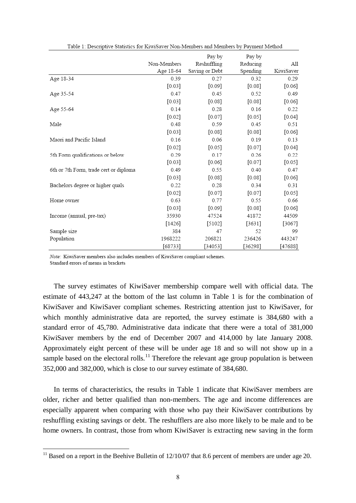|                                        | Non-Members<br>Age 18-64 | Pay by<br>Reshuffling<br>Saving or Debt | Pay by<br>Reducing<br>Spending | All<br>KiwiSaver |
|----------------------------------------|--------------------------|-----------------------------------------|--------------------------------|------------------|
| Age 18-34                              | 0.39                     | 0.27                                    | 0.32                           | 0.29             |
|                                        | $[0.03]$                 | [0.09]                                  | [0.08]                         | [0.06]           |
| Age 35-54                              | 0.47                     | 0.45                                    | 0.52                           | 0.49             |
|                                        | [0.03]                   | [0.08]                                  | [0.08]                         | [0.06]           |
| Age 55-64                              | 0.14                     | 0.28                                    | 0.16                           | 0.22             |
|                                        | $[0.02]$                 | $[0.07]$                                | [0.05]                         | $[0.04]$         |
| Male                                   | 0.48                     | 0.59                                    | 0.45                           | 0.51             |
|                                        | [0.03]                   | [0.08]                                  | [0.08]                         | [0.06]           |
| Maori and Pacific Island               | 0.16                     | 0.06                                    | 0.19                           | 0.13             |
|                                        | $[0.02]$                 | $[0.05]$                                | [0.07]                         | $[0.04]$         |
| 5th Form qualifications or below       | 0.29                     | 0.17                                    | 0.26                           | 0.22             |
|                                        | [0.03]                   | [0.06]                                  | [0.07]                         | [0.05]           |
| 6th or 7th Form, trade cert or diploma | 0.49                     | 0.55                                    | 0.40                           | 0.47             |
|                                        | $[0.03]$                 | [0.08]                                  | [0.08]                         | $[0.06]$         |
| Bachelors degree or higher quals       | 0.22                     | 0.28                                    | 0.34                           | 0.31             |
|                                        | $[0.02]$                 | [0.07]                                  | [0.07]                         | $[0.05]$         |
| Home owner                             | 0.63                     | 0.77                                    | 0.55                           | 0.66             |
|                                        | [0.03]                   | [0.09]                                  | [0.08]                         | $[0.06]$         |
| Income (annual, pre-tax)               | 35930                    | 47524                                   | 41872                          | 44509            |
|                                        | [1426]                   | [5102]                                  | [3631]                         | $[3067]$         |
| Sample size                            | 384                      | 47                                      | 52                             | 99               |
| Population                             | 1968222                  | 206821                                  | 236426                         | 443247           |
|                                        | [68733]                  | [34053]                                 | [36298]                        | [47688]          |

Table 1: Decembring Statistics for Vivi/Serrer New Members and Members by Dermont Method

Note: KiwiSaver members also includes members of KiwiSaver compliant schemes.

Standard errors of means in brackets

1

 The survey estimates of KiwiSaver membership compare well with official data. The estimate of 443,247 at the bottom of the last column in Table 1 is for the combination of KiwiSaver and KiwiSaver compliant schemes. Restricting attention just to KiwiSaver, for which monthly administrative data are reported, the survey estimate is 384,680 with a standard error of 45,780. Administrative data indicate that there were a total of 381,000 KiwiSaver members by the end of December 2007 and 414,000 by late January 2008. Approximately eight percent of these will be under age 18 and so will not show up in a sample based on the electoral rolls.<sup>11</sup> Therefore the relevant age group population is between 352,000 and 382,000, which is close to our survey estimate of 384,680.

 In terms of characteristics, the results in Table 1 indicate that KiwiSaver members are older, richer and better qualified than non-members. The age and income differences are especially apparent when comparing with those who pay their KiwiSaver contributions by reshuffling existing savings or debt. The reshufflers are also more likely to be male and to be home owners. In contrast, those from whom KiwiSaver is extracting new saving in the form

 $11$  Based on a report in the Beehive Bulletin of  $12/10/07$  that 8.6 percent of members are under age 20.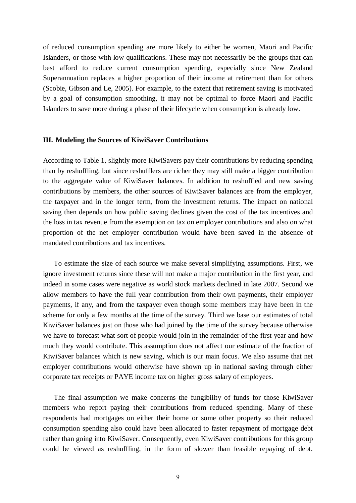of reduced consumption spending are more likely to either be women, Maori and Pacific Islanders, or those with low qualifications. These may not necessarily be the groups that can best afford to reduce current consumption spending, especially since New Zealand Superannuation replaces a higher proportion of their income at retirement than for others (Scobie, Gibson and Le, 2005). For example, to the extent that retirement saving is motivated by a goal of consumption smoothing, it may not be optimal to force Maori and Pacific Islanders to save more during a phase of their lifecycle when consumption is already low.

#### **III. Modeling the Sources of KiwiSaver Contributions**

According to Table 1, slightly more KiwiSavers pay their contributions by reducing spending than by reshuffling, but since reshufflers are richer they may still make a bigger contribution to the aggregate value of KiwiSaver balances. In addition to reshuffled and new saving contributions by members, the other sources of KiwiSaver balances are from the employer, the taxpayer and in the longer term, from the investment returns. The impact on national saving then depends on how public saving declines given the cost of the tax incentives and the loss in tax revenue from the exemption on tax on employer contributions and also on what proportion of the net employer contribution would have been saved in the absence of mandated contributions and tax incentives.

 To estimate the size of each source we make several simplifying assumptions. First, we ignore investment returns since these will not make a major contribution in the first year, and indeed in some cases were negative as world stock markets declined in late 2007. Second we allow members to have the full year contribution from their own payments, their employer payments, if any, and from the taxpayer even though some members may have been in the scheme for only a few months at the time of the survey. Third we base our estimates of total KiwiSaver balances just on those who had joined by the time of the survey because otherwise we have to forecast what sort of people would join in the remainder of the first year and how much they would contribute. This assumption does not affect our estimate of the fraction of KiwiSaver balances which is new saving, which is our main focus. We also assume that net employer contributions would otherwise have shown up in national saving through either corporate tax receipts or PAYE income tax on higher gross salary of employees.

 The final assumption we make concerns the fungibility of funds for those KiwiSaver members who report paying their contributions from reduced spending. Many of these respondents had mortgages on either their home or some other property so their reduced consumption spending also could have been allocated to faster repayment of mortgage debt rather than going into KiwiSaver. Consequently, even KiwiSaver contributions for this group could be viewed as reshuffling, in the form of slower than feasible repaying of debt.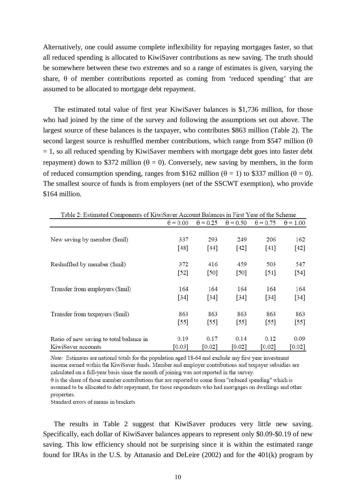Alternatively, one could assume complete inflexibility for repaying mortgages faster, so that all reduced spending is allocated to KiwiSaver contributions as new saving. The truth should be somewhere between these two extremes and so a range of estimates is given, varying the share, θ of member contributions reported as coming from 'reduced spending' that are assumed to be allocated to mortgage debt repayment.

 The estimated total value of first year KiwiSaver balances is \$1,736 million, for those who had joined by the time of the survey and following the assumptions set out above. The largest source of these balances is the taxpayer, who contributes \$863 million (Table 2). The second largest source is reshuffled member contributions, which range from \$547 million ( $\theta$ )  $= 1$ , so all reduced spending by KiwiSaver members with mortgage debt goes into faster debt repayment) down to \$372 million ( $\theta = 0$ ). Conversely, new saving by members, in the form of reduced consumption spending, ranges from \$162 million ( $\theta = 1$ ) to \$337 million ( $\theta = 0$ ). The smallest source of funds is from employers (net of the SSCWT exemption), who provide \$164 million.

| Table 2: Estimated Components of KiwiSaver Account Balances in First Year of the Scheme |                 |                 |                 |                 |                 |
|-----------------------------------------------------------------------------------------|-----------------|-----------------|-----------------|-----------------|-----------------|
|                                                                                         | $\theta = 0.00$ | $\theta$ = 0.25 | $\theta$ = 0.50 | $\theta$ = 0.75 | $\theta$ = 1.00 |
|                                                                                         |                 |                 |                 |                 |                 |
| New saving by member (\$mil)                                                            | 337             | 293             | 249             | 206             | 162             |
|                                                                                         | $[48]$          | $[44]$          | $[42]$          | $[41]$          | $[42]$          |
| Reshuffled by member (\$mil)                                                            | 372             | 416             | 459             | 503             | 547             |
|                                                                                         | $[52]$          | [50]            | $[50]$          | $[51]$          | $[54]$          |
| Transfer from employers (\$mil)                                                         | 164             | 164             | 164             | 164             | 164             |
|                                                                                         | $[34]$          | $[34]$          | [34]            | $[34]$          | $[34]$          |
| Transfer from taxpayers (\$mil)                                                         | 863             | 863             | 863             | 863             | 863             |
|                                                                                         | $[55]$          | $[55]$          | $[55]$          | $[55]$          | $[55]$          |
| Ratio of new saving to total balance in                                                 | 0.19            | 0.17            | 0.14            | 0.12            | 0.09            |
| KiwiSaver accounts                                                                      | [0.03]          | [0.02]          | $[0.02]$        | [0.02]          | [0.02]          |

Note: Estimates are national totals for the population aged 18-64 and exclude any first year investment income earned within the KiwiSaver funds. Member and employer contributions and taxpayer subsidies are calculated on a full-year basis since the month of joining was not reported in the survey.

 $\theta$  is the share of those member contributions that are reported to come from "reduced spending" which is assumed to be allocated to debt repayment, for those respondents who had mortgages on dwellings and other properties.

Standard errors of means in brackets

 The results in Table 2 suggest that KiwiSaver produces very little new saving. Specifically, each dollar of KiwiSaver balances appears to represent only \$0.09-\$0.19 of new saving. This low efficiency should not be surprising since it is within the estimated range found for IRAs in the U.S. by Attanasio and DeLeire (2002) and for the 401(k) program by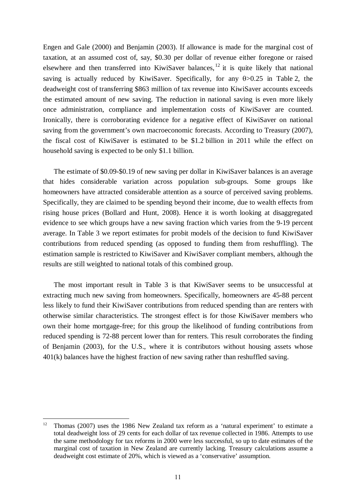Engen and Gale (2000) and Benjamin (2003). If allowance is made for the marginal cost of taxation, at an assumed cost of, say, \$0.30 per dollar of revenue either foregone or raised elsewhere and then transferred into KiwiSaver balances,  $^{12}$  it is quite likely that national saving is actually reduced by KiwiSaver. Specifically, for any  $\theta > 0.25$  in Table 2, the deadweight cost of transferring \$863 million of tax revenue into KiwiSaver accounts exceeds the estimated amount of new saving. The reduction in national saving is even more likely once administration, compliance and implementation costs of KiwiSaver are counted. Ironically, there is corroborating evidence for a negative effect of KiwiSaver on national saving from the government's own macroeconomic forecasts. According to Treasury (2007), the fiscal cost of KiwiSaver is estimated to be \$1.2 billion in 2011 while the effect on household saving is expected to be only \$1.1 billion.

 The estimate of \$0.09-\$0.19 of new saving per dollar in KiwiSaver balances is an average that hides considerable variation across population sub-groups. Some groups like homeowners have attracted considerable attention as a source of perceived saving problems. Specifically, they are claimed to be spending beyond their income, due to wealth effects from rising house prices (Bollard and Hunt, 2008). Hence it is worth looking at disaggregated evidence to see which groups have a new saving fraction which varies from the 9-19 percent average. In Table 3 we report estimates for probit models of the decision to fund KiwiSaver contributions from reduced spending (as opposed to funding them from reshuffling). The estimation sample is restricted to KiwiSaver and KiwiSaver compliant members, although the results are still weighted to national totals of this combined group.

 The most important result in Table 3 is that KiwiSaver seems to be unsuccessful at extracting much new saving from homeowners. Specifically, homeowners are 45-88 percent less likely to fund their KiwiSaver contributions from reduced spending than are renters with otherwise similar characteristics. The strongest effect is for those KiwiSaver members who own their home mortgage-free; for this group the likelihood of funding contributions from reduced spending is 72-88 percent lower than for renters. This result corroborates the finding of Benjamin (2003), for the U.S., where it is contributors without housing assets whose 401(k) balances have the highest fraction of new saving rather than reshuffled saving.

1

<sup>&</sup>lt;sup>12</sup> Thomas (2007) uses the 1986 New Zealand tax reform as a 'natural experiment' to estimate a total deadweight loss of 29 cents for each dollar of tax revenue collected in 1986. Attempts to use the same methodology for tax reforms in 2000 were less successful, so up to date estimates of the marginal cost of taxation in New Zealand are currently lacking. Treasury calculations assume a deadweight cost estimate of 20%, which is viewed as a 'conservative' assumption.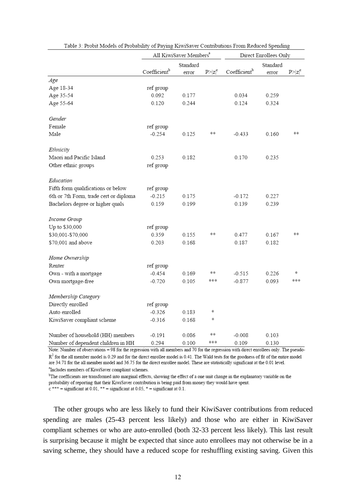|                                        | All KiwiSaver Members <sup>a</sup> |          | Direct Enrollees Only |                          |       |             |
|----------------------------------------|------------------------------------|----------|-----------------------|--------------------------|-------|-------------|
|                                        |                                    | Standard |                       | Standard                 |       |             |
|                                        | Coefficient <sup>b</sup>           | error    | $P >  z ^c$           | Coefficient <sup>b</sup> | error | $P >  z ^c$ |
| Age                                    |                                    |          |                       |                          |       |             |
| Age 18-34                              | ref group                          |          |                       |                          |       |             |
| Age 35-54                              | 0.092                              | 0.177    |                       | 0.034                    | 0.259 |             |
| Age 55-64                              | 0.120                              | 0.244    |                       | 0.124                    | 0.324 |             |
| Gender                                 |                                    |          |                       |                          |       |             |
| Female                                 | ref group                          |          |                       |                          |       |             |
| Male                                   | $-0.254$                           | 0.125    | **                    | $-0.433$                 | 0.160 | 水米          |
| Ethnicity                              |                                    |          |                       |                          |       |             |
| Maori and Pacific Island               | 0.253                              | 0.182    |                       | 0.170                    | 0.235 |             |
| Other ethnic groups                    | ref group                          |          |                       |                          |       |             |
| Education                              |                                    |          |                       |                          |       |             |
| Fifth form qualifications or below     | ref group                          |          |                       |                          |       |             |
| 6th or 7th Form, trade cert or diploma | $-0.215$                           | 0.175    |                       | $-0.172$                 | 0.227 |             |
| Bachelors degree or higher quals       | 0.159                              | 0.199    |                       | 0.139                    | 0.239 |             |
| Income Group                           |                                    |          |                       |                          |       |             |
| Up to \$30,000                         | ref group                          |          |                       |                          |       |             |
| \$30,001-\$70,000                      | 0.359                              | 0.155    | 奉宗                    | 0.477                    | 0.167 | 水米          |
| \$70,001 and above                     | 0.203                              | 0.168    |                       | 0.187                    | 0.182 |             |
| Home Ownership                         |                                    |          |                       |                          |       |             |
| Renter                                 | ref group                          |          |                       |                          |       |             |
| Own - with a mortgage                  | $-0.454$                           | 0.169    | 冰冰                    | $-0.515$                 | 0.226 | *           |
| Own mortgage-free                      | $-0.720$                           | 0.105    | 冰米米                   | $-0.877$                 | 0.093 | ***         |
| Membership Category                    |                                    |          |                       |                          |       |             |
| Directly enrolled                      | ref group                          |          |                       |                          |       |             |
| Auto enrolled                          | $-0.326$                           | 0.183    | ∗                     |                          |       |             |
| KiwiSaver compliant scheme             | $-0.316$                           | 0.168    | *                     |                          |       |             |
| Number of household (HH) members       | $-0.191$                           | 0.086    | 奉宗                    | $-0.008$                 | 0.103 |             |
| Number of dependent children in HH     | 0.294                              | 0.100    | 水水泳                   | 0.109                    | 0.130 |             |

| Table 3: Probit Models of Probability of Paying KiwiSaver Contributions From Reduced Spending |  |
|-----------------------------------------------------------------------------------------------|--|
|                                                                                               |  |

Note: Number of observations = 98 for the regression with all members and 70 for the regression with direct enrollees only. The pseudo- $R<sup>2</sup>$  for the all member model is 0.29 and for the direct enrollee model is 0.41. The Wald tests for the goodness of fit of the entire model are 34.71 for the all member model and 36.75 for the direct enrollee model. These are statistically significant at the 0.01 level. <sup>a</sup>Includes members of KiwiSaver compliant schemes.

<sup>b</sup>The coefficients are transformed into marginal effects, showing the effect of a one unit change in the explanatory variable on the

probability of reporting that their KiwiSaver contribution is being paid from money they would have spent.

 $c$  \*\*\* = significant at 0.01, \*\* = significant at 0.05, \* = significant at 0.1.

 The other groups who are less likely to fund their KiwiSaver contributions from reduced spending are males (25-43 percent less likely) and those who are either in KiwiSaver compliant schemes or who are auto-enrolled (both 32-33 percent less likely). This last result is surprising because it might be expected that since auto enrollees may not otherwise be in a saving scheme, they should have a reduced scope for reshuffling existing saving. Given this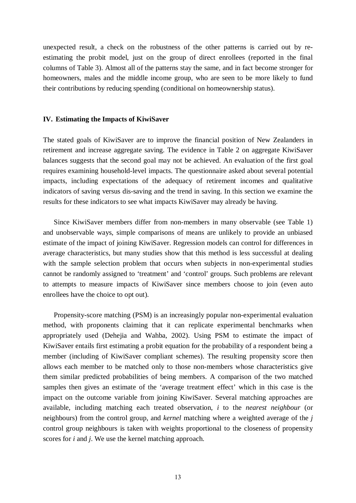unexpected result, a check on the robustness of the other patterns is carried out by reestimating the probit model, just on the group of direct enrollees (reported in the final columns of Table 3). Almost all of the patterns stay the same, and in fact become stronger for homeowners, males and the middle income group, who are seen to be more likely to fund their contributions by reducing spending (conditional on homeownership status).

#### **IV. Estimating the Impacts of KiwiSaver**

The stated goals of KiwiSaver are to improve the financial position of New Zealanders in retirement and increase aggregate saving. The evidence in Table 2 on aggregate KiwiSaver balances suggests that the second goal may not be achieved. An evaluation of the first goal requires examining household-level impacts. The questionnaire asked about several potential impacts, including expectations of the adequacy of retirement incomes and qualitative indicators of saving versus dis-saving and the trend in saving. In this section we examine the results for these indicators to see what impacts KiwiSaver may already be having.

 Since KiwiSaver members differ from non-members in many observable (see Table 1) and unobservable ways, simple comparisons of means are unlikely to provide an unbiased estimate of the impact of joining KiwiSaver. Regression models can control for differences in average characteristics, but many studies show that this method is less successful at dealing with the sample selection problem that occurs when subjects in non-experimental studies cannot be randomly assigned to 'treatment' and 'control' groups. Such problems are relevant to attempts to measure impacts of KiwiSaver since members choose to join (even auto enrollees have the choice to opt out).

 Propensity-score matching (PSM) is an increasingly popular non-experimental evaluation method, with proponents claiming that it can replicate experimental benchmarks when appropriately used (Dehejia and Wahba, 2002). Using PSM to estimate the impact of KiwiSaver entails first estimating a probit equation for the probability of a respondent being a member (including of KiwiSaver compliant schemes). The resulting propensity score then allows each member to be matched only to those non-members whose characteristics give them similar predicted probabilities of being members. A comparison of the two matched samples then gives an estimate of the 'average treatment effect' which in this case is the impact on the outcome variable from joining KiwiSaver. Several matching approaches are available, including matching each treated observation, *i* to the *nearest neighbour* (or neighbours) from the control group, and *kernel* matching where a weighted average of the *j* control group neighbours is taken with weights proportional to the closeness of propensity scores for *i* and *j*. We use the kernel matching approach.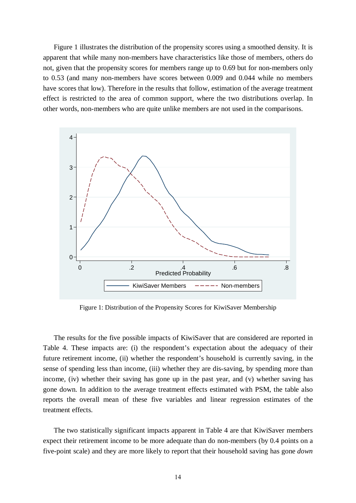Figure 1 illustrates the distribution of the propensity scores using a smoothed density. It is apparent that while many non-members have characteristics like those of members, others do not, given that the propensity scores for members range up to 0.69 but for non-members only to 0.53 (and many non-members have scores between 0.009 and 0.044 while no members have scores that low). Therefore in the results that follow, estimation of the average treatment effect is restricted to the area of common support, where the two distributions overlap. In other words, non-members who are quite unlike members are not used in the comparisons.



Figure 1: Distribution of the Propensity Scores for KiwiSaver Membership

 The results for the five possible impacts of KiwiSaver that are considered are reported in Table 4. These impacts are: (i) the respondent's expectation about the adequacy of their future retirement income, (ii) whether the respondent's household is currently saving, in the sense of spending less than income, (iii) whether they are dis-saving, by spending more than income, (iv) whether their saving has gone up in the past year, and (v) whether saving has gone down. In addition to the average treatment effects estimated with PSM, the table also reports the overall mean of these five variables and linear regression estimates of the treatment effects.

 The two statistically significant impacts apparent in Table 4 are that KiwiSaver members expect their retirement income to be more adequate than do non-members (by 0.4 points on a five-point scale) and they are more likely to report that their household saving has gone *down*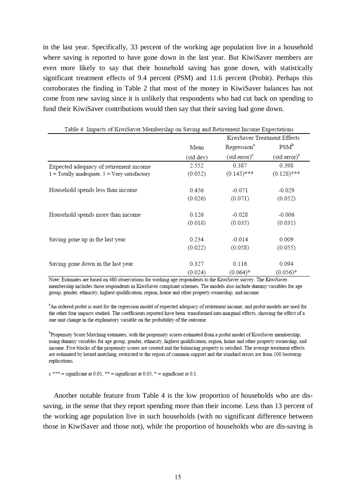in the last year. Specifically, 33 percent of the working age population live in a household where saving is reported to have gone down in the last year. But KiwiSaver members are even more likely to say that their household saving has gone down, with statistically significant treatment effects of 9.4 percent (PSM) and 11.6 percent (Probit). Perhaps this corroborates the finding in Table 2 that most of the money in KiwiSaver balances has not come from new saving since it is unlikely that respondents who had cut back on spending to fund their KiwiSaver contributions would then say that their saving had gone down.

| Table 4: Impacts of KiwiSaver Membership on Saving and Retirement Income Expectations |           |                             |                          |  |
|---------------------------------------------------------------------------------------|-----------|-----------------------------|--------------------------|--|
|                                                                                       |           | KiwiSaver Treatment Effects |                          |  |
|                                                                                       | Mean      | Regression <sup>a</sup>     | $PSM^b$                  |  |
|                                                                                       | (std dev) | $(\text{std error})^c$      | (std error) <sup>e</sup> |  |
| Expected adequacy of retirement income                                                | 2.552     | 0.387                       | 0.398                    |  |
| $1 =$ Totally inadequate, $5 =$ Very satisfactory                                     | (0.052)   | $(0.145)$ ***               | $(0.128)$ ***            |  |
| Household spends less than income                                                     | 0.456     | $-0.071$                    | $-0.029$                 |  |
|                                                                                       | (0.026)   | (0.071)                     | (0.052)                  |  |
| Household spends more than income                                                     | 0.126     | $-0.028$                    | $-0.006$                 |  |
|                                                                                       | (0.018)   | (0.035)                     | (0.031)                  |  |
| Saving gone up in the last year                                                       | 0.234     | $-0.014$                    | 0.009                    |  |
|                                                                                       | (0.022)   | (0.058)                     | (0.055)                  |  |
| Saving gone down in the last year                                                     | 0.327     | 0.116                       | 0.094                    |  |
|                                                                                       | (0.024)   | $(0.064)*$                  | $(0.056)*$               |  |

Note: Estimates are based on 480 observations for working age respondents to the KiwiSaver survey. The KiwiSaver membership includes those respondents in KiwiSaver compliant schemes. The models also include dummy variables for age group, gender, ethnicity, highest qualification, region, home and other property ownership, and income.

<sup>a</sup>An ordered probit is used for the regression model of expected adequacy of retirement income, and probit models are used for the other four impacts studied. The coefficients reported have been transformed into marginal effects, showing the effect of a one unit change in the explanatory variable on the probability of the outcome.

<sup>b</sup>Propensity Score Matching estimates, with the propensity scores estimated from a probit model of KiwiSaver membership, using dummy variables for age group, gender, ethnicity, highest qualification, region, home and other property ownership, and income. Five blocks of the propensity scores are created and the balancing property is satisfied. The average treatment effects are estimated by kernel matching, restricted to the region of common support and the standard errors are from 100 bootstrap replications.

 $c$  \*\*\* = significant at 0.01, \*\* = significant at 0.05, \* = significant at 0.1.

 Another notable feature from Table 4 is the low proportion of households who are dissaving, in the sense that they report spending more than their income. Less than 13 percent of the working age population live in such households (with no significant difference between those in KiwiSaver and those not), while the proportion of households who are dis-saving is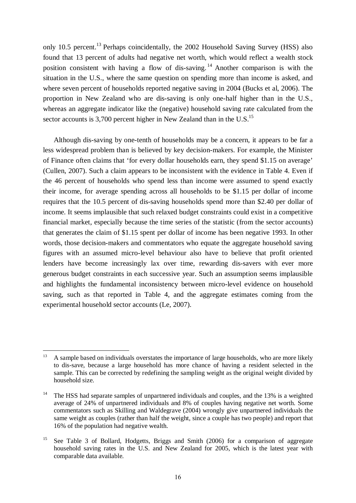only 10.5 percent.<sup>13</sup> Perhaps coincidentally, the 2002 Household Saving Survey (HSS) also found that 13 percent of adults had negative net worth, which would reflect a wealth stock position consistent with having a flow of dis-saving. 14 Another comparison is with the situation in the U.S., where the same question on spending more than income is asked, and where seven percent of households reported negative saving in 2004 (Bucks et al, 2006). The proportion in New Zealand who are dis-saving is only one-half higher than in the U.S., whereas an aggregate indicator like the (negative) household saving rate calculated from the sector accounts is 3,700 percent higher in New Zealand than in the U.S.<sup>15</sup>

 Although dis-saving by one-tenth of households may be a concern, it appears to be far a less widespread problem than is believed by key decision-makers. For example, the Minister of Finance often claims that 'for every dollar households earn, they spend \$1.15 on average' (Cullen, 2007). Such a claim appears to be inconsistent with the evidence in Table 4. Even if the 46 percent of households who spend less than income were assumed to spend exactly their income, for average spending across all households to be \$1.15 per dollar of income requires that the 10.5 percent of dis-saving households spend more than \$2.40 per dollar of income. It seems implausible that such relaxed budget constraints could exist in a competitive financial market, especially because the time series of the statistic (from the sector accounts) that generates the claim of \$1.15 spent per dollar of income has been negative 1993. In other words, those decision-makers and commentators who equate the aggregate household saving figures with an assumed micro-level behaviour also have to believe that profit oriented lenders have become increasingly lax over time, rewarding dis-savers with ever more generous budget constraints in each successive year. Such an assumption seems implausible and highlights the fundamental inconsistency between micro-level evidence on household saving, such as that reported in Table 4, and the aggregate estimates coming from the experimental household sector accounts (Le, 2007).

<u>.</u>

<sup>13</sup> A sample based on individuals overstates the importance of large households, who are more likely to dis-save, because a large household has more chance of having a resident selected in the sample. This can be corrected by redefining the sampling weight as the original weight divided by household size.

<sup>&</sup>lt;sup>14</sup> The HSS had separate samples of unpartnered individuals and couples, and the 13% is a weighted average of 24% of unpartnered individuals and 8% of couples having negative net worth. Some commentators such as Skilling and Waldegrave (2004) wrongly give unpartnered individuals the same weight as couples (rather than half the weight, since a couple has two people) and report that 16% of the population had negative wealth.

<sup>&</sup>lt;sup>15</sup> See Table 3 of Bollard, Hodgetts, Briggs and Smith (2006) for a comparison of aggregate household saving rates in the U.S. and New Zealand for 2005, which is the latest year with comparable data available.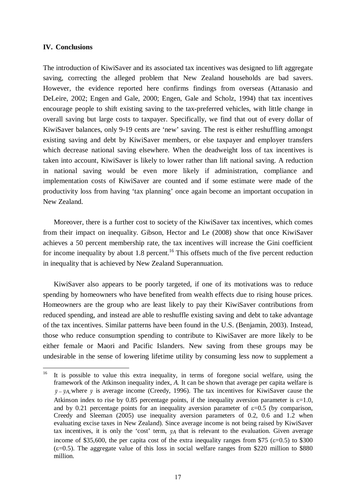### **IV. Conclusions**

<u>.</u>

The introduction of KiwiSaver and its associated tax incentives was designed to lift aggregate saving, correcting the alleged problem that New Zealand households are bad savers. However, the evidence reported here confirms findings from overseas (Attanasio and DeLeire, 2002; Engen and Gale, 2000; Engen, Gale and Scholz, 1994) that tax incentives encourage people to shift existing saving to the tax-preferred vehicles, with little change in overall saving but large costs to taxpayer. Specifically, we find that out of every dollar of KiwiSaver balances, only 9-19 cents are 'new' saving. The rest is either reshuffling amongst existing saving and debt by KiwiSaver members, or else taxpayer and employer transfers which decrease national saving elsewhere. When the deadweight loss of tax incentives is taken into account, KiwiSaver is likely to lower rather than lift national saving. A reduction in national saving would be even more likely if administration, compliance and implementation costs of KiwiSaver are counted and if some estimate were made of the productivity loss from having 'tax planning' once again become an important occupation in New Zealand.

 Moreover, there is a further cost to society of the KiwiSaver tax incentives, which comes from their impact on inequality. Gibson, Hector and Le (2008) show that once KiwiSaver achieves a 50 percent membership rate, the tax incentives will increase the Gini coefficient for income inequality by about 1.8 percent.<sup>16</sup> This offsets much of the five percent reduction in inequality that is achieved by New Zealand Superannuation.

 KiwiSaver also appears to be poorly targeted, if one of its motivations was to reduce spending by homeowners who have benefited from wealth effects due to rising house prices. Homeowners are the group who are least likely to pay their KiwiSaver contributions from reduced spending, and instead are able to reshuffle existing saving and debt to take advantage of the tax incentives. Similar patterns have been found in the U.S. (Benjamin, 2003). Instead, those who reduce consumption spending to contribute to KiwiSaver are more likely to be either female or Maori and Pacific Islanders. New saving from these groups may be undesirable in the sense of lowering lifetime utility by consuming less now to supplement a

<sup>&</sup>lt;sup>16</sup> It is possible to value this extra inequality, in terms of foregone social welfare, using the framework of the Atkinson inequality index, *A.* It can be shown that average per capita welfare is  $\bar{y}$  –  $\bar{y}$ <sub>A</sub>, where  $\bar{y}$  is average income (Creedy, 1996). The tax incentives for KiwiSaver cause the Atkinson index to rise by 0.85 percentage points, if the inequality aversion parameter is  $\varepsilon$ =1.0, and by 0.21 percentage points for an inequality aversion parameter of  $\varepsilon$ =0.5 (by comparison, Creedy and Sleeman (2005) use inequality aversion parameters of 0.2, 0.6 and 1.2 when evaluating excise taxes in New Zealand). Since average income is not being raised by KiwiSaver tax incentives, it is only the 'cost' term,  $\bar{v}_A$  that is relevant to the evaluation. Given average income of \$35,600, the per capita cost of the extra inequality ranges from \$75 ( $\varepsilon$ =0.5) to \$300  $(\epsilon=0.5)$ . The aggregate value of this loss in social welfare ranges from \$220 million to \$880 million.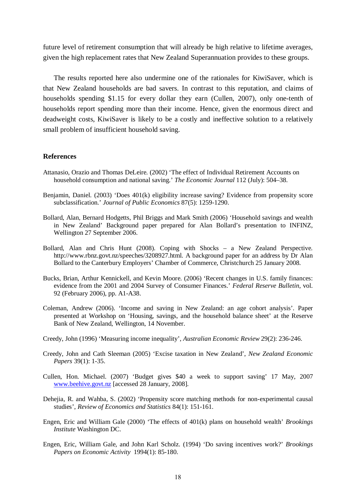future level of retirement consumption that will already be high relative to lifetime averages, given the high replacement rates that New Zealand Superannuation provides to these groups.

 The results reported here also undermine one of the rationales for KiwiSaver, which is that New Zealand households are bad savers. In contrast to this reputation, and claims of households spending \$1.15 for every dollar they earn (Cullen, 2007), only one-tenth of households report spending more than their income. Hence, given the enormous direct and deadweight costs, KiwiSaver is likely to be a costly and ineffective solution to a relatively small problem of insufficient household saving.

### **References**

- Attanasio, Orazio and Thomas DeLeire. (2002) 'The effect of Individual Retirement Accounts on household consumption and national saving.' *The Economic Journal* 112 (July): 504–38.
- Benjamin, Daniel. (2003) 'Does 401(k) eligibility increase saving? Evidence from propensity score subclassification.' *Journal of Public Economics* 87(5): 1259-1290.
- Bollard, Alan, Bernard Hodgetts, Phil Briggs and Mark Smith (2006) 'Household savings and wealth in New Zealand' Background paper prepared for Alan Bollard's presentation to INFINZ, Wellington 27 September 2006.
- Bollard, Alan and Chris Hunt (2008). Coping with Shocks a New Zealand Perspective. http://www.rbnz.govt.nz/speeches/3208927.html. A background paper for an address by Dr Alan Bollard to the Canterbury Employers' Chamber of Commerce, Christchurch 25 January 2008.
- Bucks, Brian, Arthur Kennickell, and Kevin Moore. (2006) 'Recent changes in U.S. family finances: evidence from the 2001 and 2004 Survey of Consumer Finances.' *Federal Reserve Bulletin*, vol. 92 (February 2006), pp. A1-A38.
- Coleman, Andrew (2006). 'Income and saving in New Zealand: an age cohort analysis'. Paper presented at Workshop on 'Housing, savings, and the household balance sheet' at the Reserve Bank of New Zealand, Wellington, 14 November.
- Creedy, John (1996) 'Measuring income inequality', *Australian Economic Review* 29(2): 236-246.
- Creedy, John and Cath Sleeman (2005) 'Excise taxation in New Zealand', *New Zealand Economic Papers* 39(1): 1-35.
- Cullen, Hon. Michael. (2007) 'Budget gives \$40 a week to support saving' 17 May, 2007 www.beehive.govt.nz [accessed 28 January, 2008].
- Dehejia, R. and Wahba, S. (2002) 'Propensity score matching methods for non-experimental causal studies', *Review of Economics and Statistics* 84(1): 151-161.
- Engen, Eric and William Gale (2000) 'The effects of 401(k) plans on household wealth' *Brookings Institute* Washington DC.
- Engen, Eric, William Gale, and John Karl Scholz. (1994) 'Do saving incentives work?' *Brookings Papers on Economic Activity* 1994(1): 85-180.